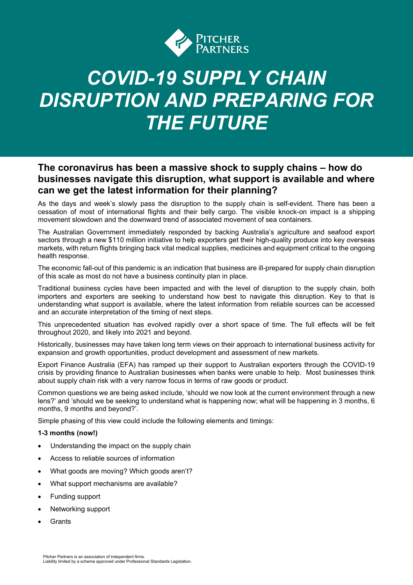

# *COVID-19 SUPPLY CHAIN DISRUPTION AND PREPARING FOR THE FUTURE*

### **The coronavirus has been a massive shock to supply chains – how do businesses navigate this disruption, what support is available and where can we get the latest information for their planning?**

As the days and week's slowly pass the disruption to the supply chain is self-evident. There has been a cessation of most of international flights and their belly cargo. The visible knock-on impact is a shipping movement slowdown and the downward trend of associated movement of sea containers.

The Australian Government immediately responded by backing Australia's agriculture and seafood export sectors through a new \$110 million initiative to help exporters get their high-quality produce into key overseas markets, with return flights bringing back vital medical supplies, medicines and equipment critical to the ongoing health response.

The economic fall-out of this pandemic is an indication that business are ill-prepared for supply chain disruption of this scale as most do not have a business continuity plan in place.

Traditional business cycles have been impacted and with the level of disruption to the supply chain, both importers and exporters are seeking to understand how best to navigate this disruption. Key to that is understanding what support is available, where the latest information from reliable sources can be accessed and an accurate interpretation of the timing of next steps.

This unprecedented situation has evolved rapidly over a short space of time. The full effects will be felt throughout 2020, and likely into 2021 and beyond.

Historically, businesses may have taken long term views on their approach to international business activity for expansion and growth opportunities, product development and assessment of new markets.

Export Finance Australia (EFA) has ramped up their support to Australian exporters through the COVID-19 crisis by providing finance to Australian businesses when banks were unable to help. Most businesses think about supply chain risk with a very narrow focus in terms of raw goods or product.

Common questions we are being asked include, 'should we now look at the current environment through a new lens?' and 'should we be seeking to understand what is happening now; what will be happening in 3 months, 6 months, 9 months and beyond?'.

Simple phasing of this view could include the following elements and timings:

#### **1-3 months (now!)**

- Understanding the impact on the supply chain
- Access to reliable sources of information
- What goods are moving? Which goods aren't?
- What support mechanisms are available?
- Funding support
- Networking support
- **Grants**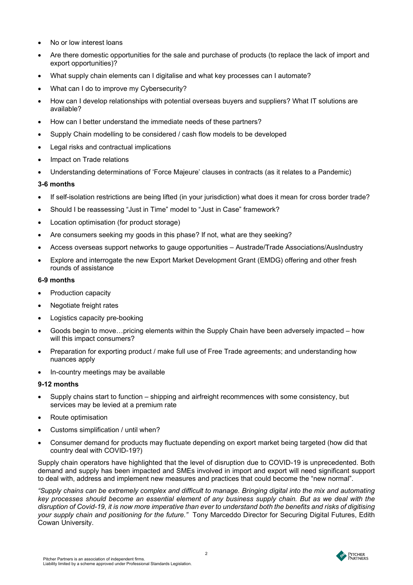- No or low interest loans
- Are there domestic opportunities for the sale and purchase of products (to replace the lack of import and export opportunities)?
- What supply chain elements can I digitalise and what key processes can I automate?
- What can I do to improve my Cybersecurity?
- How can I develop relationships with potential overseas buyers and suppliers? What IT solutions are available?
- How can I better understand the immediate needs of these partners?
- Supply Chain modelling to be considered / cash flow models to be developed
- Legal risks and contractual implications
- Impact on Trade relations
- Understanding determinations of 'Force Majeure' clauses in contracts (as it relates to a Pandemic)

#### **3-6 months**

- If self-isolation restrictions are being lifted (in your jurisdiction) what does it mean for cross border trade?
- Should I be reassessing "Just in Time" model to "Just in Case" framework?
- Location optimisation (for product storage)
- Are consumers seeking my goods in this phase? If not, what are they seeking?
- Access overseas support networks to gauge opportunities Austrade/Trade Associations/AusIndustry
- Explore and interrogate the new Export Market Development Grant (EMDG) offering and other fresh rounds of assistance

#### **6-9 months**

- Production capacity
- Negotiate freight rates
- Logistics capacity pre-booking
- Goods begin to move…pricing elements within the Supply Chain have been adversely impacted how will this impact consumers?
- Preparation for exporting product / make full use of Free Trade agreements; and understanding how nuances apply
- In-country meetings may be available

#### **9-12 months**

- Supply chains start to function shipping and airfreight recommences with some consistency, but services may be levied at a premium rate
- Route optimisation
- Customs simplification / until when?
- Consumer demand for products may fluctuate depending on export market being targeted (how did that country deal with COVID-19?)

Supply chain operators have highlighted that the level of disruption due to COVID-19 is unprecedented. Both demand and supply has been impacted and SMEs involved in import and export will need significant support to deal with, address and implement new measures and practices that could become the "new normal".

*"Supply chains can be extremely complex and difficult to manage. Bringing digital into the mix and automating key processes should become an essential element of any business supply chain. But as we deal with the disruption of Covid-19, it is now more imperative than ever to understand both the benefits and risks of digitising your supply chain and positioning for the future."* Tony Marceddo Director for Securing Digital Futures, Edith Cowan University.



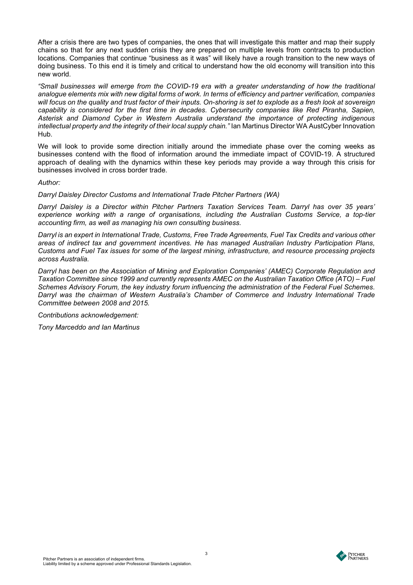After a crisis there are two types of companies, the ones that will investigate this matter and map their supply chains so that for any next sudden crisis they are prepared on multiple levels from contracts to production locations. Companies that continue "business as it was" will likely have a rough transition to the new ways of doing business. To this end it is timely and critical to understand how the old economy will transition into this new world.

*"Small businesses will emerge from the COVID-19 era with a greater understanding of how the traditional analogue elements mix with new digital forms of work. In terms of efficiency and partner verification, companies will focus on the quality and trust factor of their inputs. On-shoring is set to explode as a fresh look at sovereign capability is considered for the first time in decades. Cybersecurity companies like Red Piranha, Sapien, Asterisk and Diamond Cyber in Western Australia understand the importance of protecting indigenous intellectual property and the integrity of their local supply chain."* Ian Martinus Director WA AustCyber Innovation Hub.

We will look to provide some direction initially around the immediate phase over the coming weeks as businesses contend with the flood of information around the immediate impact of COVID-19. A structured approach of dealing with the dynamics within these key periods may provide a way through this crisis for businesses involved in cross border trade.

*Author:* 

*Darryl Daisley Director Customs and International Trade Pitcher Partners (WA)*

*Darryl Daisley is a Director within Pitcher Partners Taxation Services Team. Darryl has over 35 years' experience working with a range of organisations, including the Australian Customs Service, a top-tier accounting firm, as well as managing his own consulting business.*

*Darryl is an expert in International Trade, Customs, Free Trade Agreements, Fuel Tax Credits and various other areas of indirect tax and government incentives. He has managed Australian Industry Participation Plans, Customs and Fuel Tax issues for some of the largest mining, infrastructure, and resource processing projects across Australia.* 

*Darryl has been on the Association of Mining and Exploration Companies' (AMEC) Corporate Regulation and Taxation Committee since 1999 and currently represents AMEC on the Australian Taxation Office (ATO) – Fuel Schemes Advisory Forum, the key industry forum influencing the administration of the Federal Fuel Schemes. Darryl was the chairman of Western Australia's Chamber of Commerce and Industry International Trade Committee between 2008 and 2015.*

*Contributions acknowledgement:* 

*Tony Marceddo and Ian Martinus*